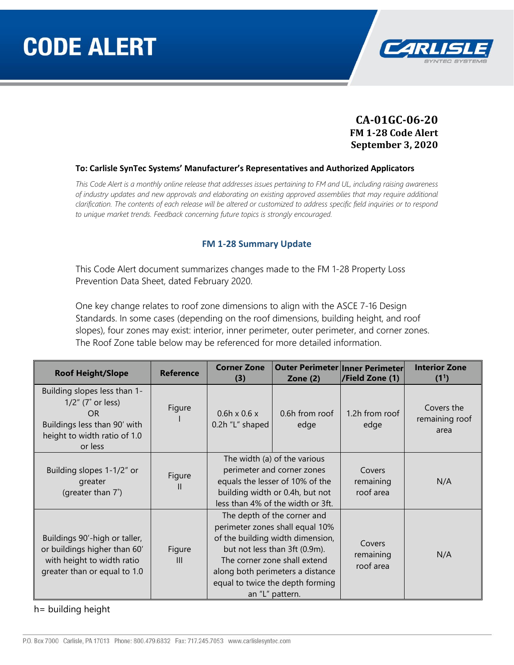

### **CA-01GC-06-20 FM 1-28 Code Alert September 3, 2020**

#### **To: Carlisle SynTec Systems' Manufacturer's Representatives and Authorized Applicators**

*This Code Alert is a monthly online release that addresses issues pertaining to FM and UL, including raising awareness of industry updates and new approvals and elaborating on existing approved assemblies that may require additional clarification. The contents of each release will be altered or customized to address specific field inquiries or to respond to unique market trends. Feedback concerning future topics is strongly encouraged.*

#### **FM 1-28 Summary Update**

This Code Alert document summarizes changes made to the FM 1-28 Property Loss Prevention Data Sheet, dated February 2020.

One key change relates to roof zone dimensions to align with the ASCE 7-16 Design Standards. In some cases (depending on the roof dimensions, building height, and roof slopes), four zones may exist: interior, inner perimeter, outer perimeter, and corner zones. The Roof Zone table below may be referenced for more detailed information.

| <b>Roof Height/Slope</b>                                                                                                               | <b>Reference</b>         | <b>Corner Zone</b><br>(3)                                                                                                                                                                                                                                      | <b>Outer Perimeter Inner Perimeter</b><br>Zone $(2)$                                                                                                                  | /Field Zone (1)                  | <b>Interior Zone</b><br>(1 <sup>1</sup> ) |
|----------------------------------------------------------------------------------------------------------------------------------------|--------------------------|----------------------------------------------------------------------------------------------------------------------------------------------------------------------------------------------------------------------------------------------------------------|-----------------------------------------------------------------------------------------------------------------------------------------------------------------------|----------------------------------|-------------------------------------------|
| Building slopes less than 1-<br>$1/2$ " (7° or less)<br>OR.<br>Buildings less than 90' with<br>height to width ratio of 1.0<br>or less | Figure                   | $0.6h \times 0.6 \times$<br>0.2h "L" shaped                                                                                                                                                                                                                    | 0.6h from roof<br>edge                                                                                                                                                | 1.2h from roof<br>edge           | Covers the<br>remaining roof<br>area      |
| Building slopes 1-1/2" or<br>greater<br>(greater than 7°)                                                                              | Figure<br>Ш              |                                                                                                                                                                                                                                                                | The width (a) of the various<br>perimeter and corner zones<br>equals the lesser of 10% of the<br>building width or 0.4h, but not<br>less than 4% of the width or 3ft. | Covers<br>remaining<br>roof area | N/A                                       |
| Buildings 90'-high or taller,<br>or buildings higher than 60'<br>with height to width ratio<br>greater than or equal to 1.0            | Figure<br>$\mathbf{III}$ | The depth of the corner and<br>perimeter zones shall equal 10%<br>of the building width dimension,<br>but not less than 3ft (0.9m).<br>The corner zone shall extend<br>along both perimeters a distance<br>equal to twice the depth forming<br>an "L" pattern. |                                                                                                                                                                       | Covers<br>remaining<br>roof area | N/A                                       |

h= building height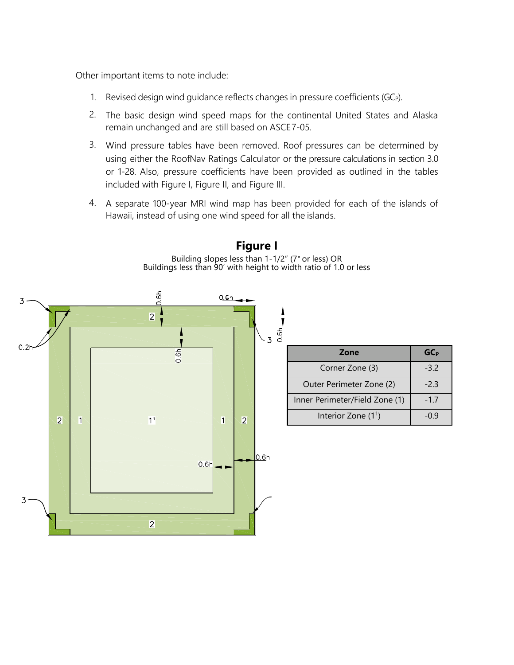Other important items to note include:

- 1. Revised design wind quidance reflects changes in pressure coefficients (GC $_{P}$ ).
- 2. The basic design wind speed maps for the continental United States and Alaska remain unchanged and are still based on ASCE7-05.
- 3. Wind pressure tables have been removed. Roof pressures can be determined by using either the RoofNav Ratings Calculator or the pressure calculations in section 3.0 or 1-28. Also, pressure coefficients have been provided as outlined in the tables included with Figure I, Figure II, and Figure III.
- 4. A separate 100-year MRI wind map has been provided for each of the islands of Hawaii, instead of using one wind speed for all the islands.



## **Figure I**

Building slopes less than 1-1/2" (7° or less) OR Buildings less than 90' with height to width ratio of 1.0 or less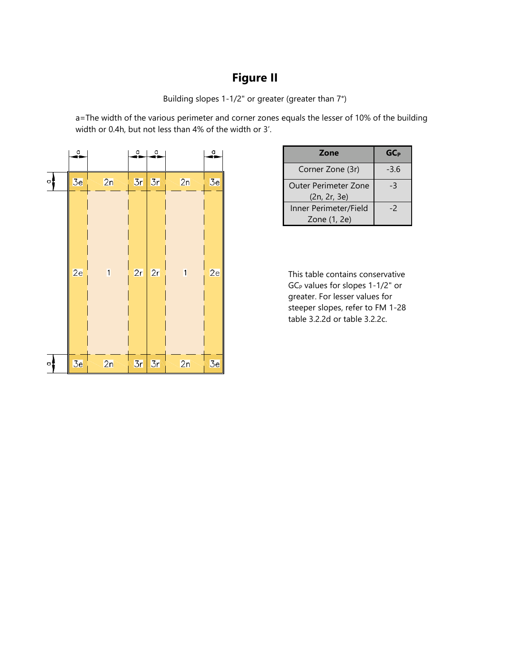# **Figure II**

Building slopes 1-1/2" or greater (greater than 7°)

a=The width of the various perimeter and corner zones equals the lesser of 10% of the building width or 0.4h, but not less than 4% of the width or 3'.

|     | $\frac{a}{1}$ |                | $\alpha$ | $\alpha$ |                         | $\frac{0}{2}$ |
|-----|---------------|----------------|----------|----------|-------------------------|---------------|
| ਼ੂਰ | 3e            | 2n             | 3r       | 3r       | 2n                      | 3e            |
|     | 2e            | $\overline{1}$ | 2r       | 2r       | $\overline{\mathbf{1}}$ | 2e            |
| ∘‡  | 3e            | 2n             | 3r       | 3r       | 2n                      | 3e            |

| Zone                                 | <b>GC<sub>P</sub></b> |
|--------------------------------------|-----------------------|
| Corner Zone (3r)                     | $-3.6$                |
| Outer Perimeter Zone<br>(2n, 2r, 3e) | -3                    |
| Inner Perimeter/Field                | -2                    |
| Zone (1, 2e)                         |                       |

This table contains conservative GC<sub>P</sub> values for slopes 1-1/2" or greater. For lesser values for steeper slopes, refer to FM 1-28 table 3.2.2d or table 3.2.2c.